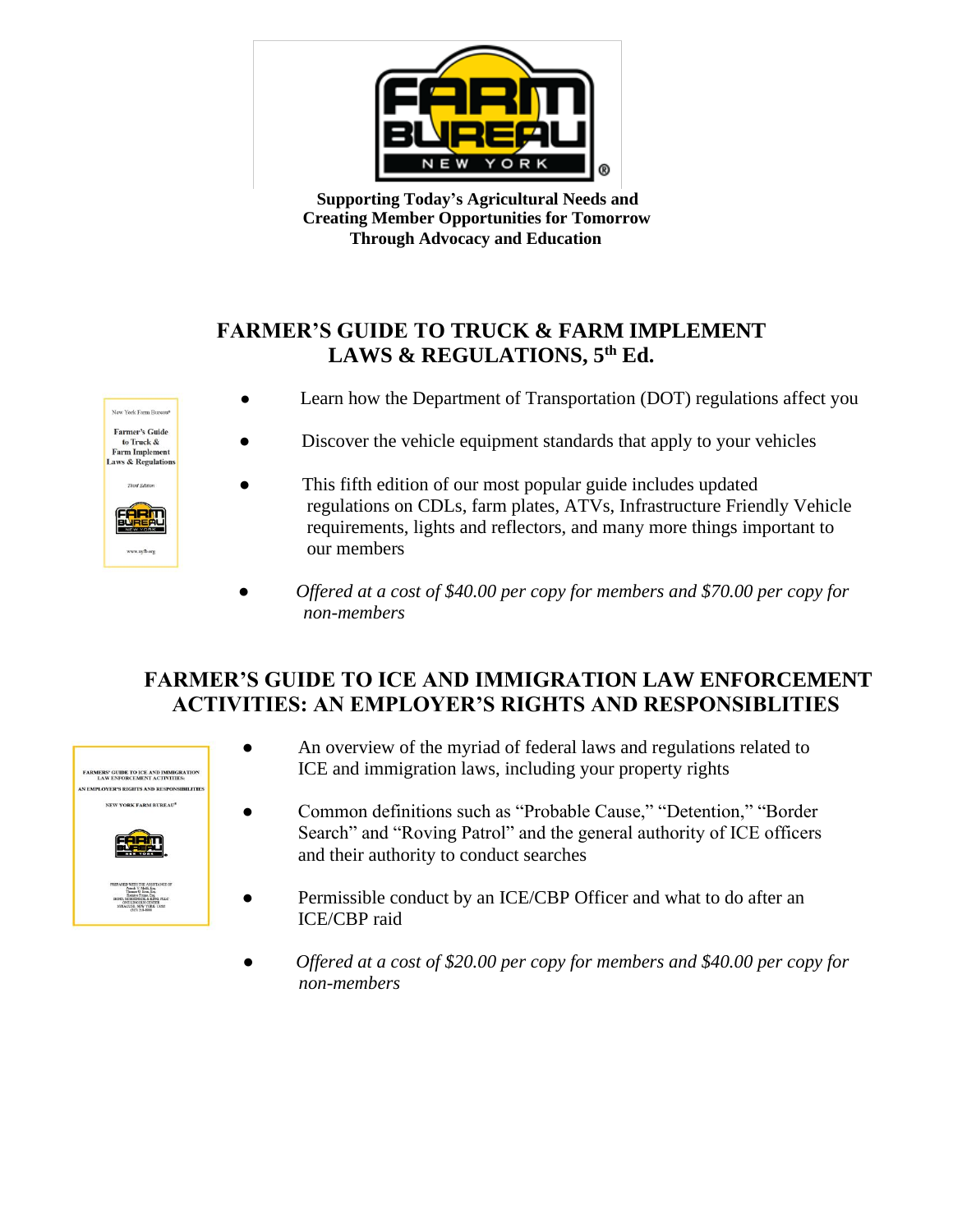

 **Supporting Today's Agricultural Needs and Creating Member Opportunities for Tomorrow Through Advocacy and Education**

## **FARMER'S GUIDE TO TRUCK & FARM IMPLEMENT LAWS & REGULATIONS, 5 th Ed.**



- Learn how the Department of Transportation (DOT) regulations affect you
- Discover the vehicle equipment standards that apply to your vehicles
- This fifth edition of our most popular guide includes updated regulations on CDLs, farm plates, ATVs, Infrastructure Friendly Vehicle requirements, lights and reflectors, and many more things important to our members
- *Offered at a cost of \$40.00 per copy for members and \$70.00 per copy for non-members*

## **FARMER'S GUIDE TO ICE AND IMMIGRATION LAW ENFORCEMENT ACTIVITIES: AN EMPLOYER'S RIGHTS AND RESPONSIBLITIES**



- An overview of the myriad of federal laws and regulations related to ICE and immigration laws, including your property rights
- Common definitions such as "Probable Cause," "Detention," "Border Search" and "Roving Patrol" and the general authority of ICE officers and their authority to conduct searches
- Permissible conduct by an ICE/CBP Officer and what to do after an ICE/CBP raid
- *Offered at a cost of \$20.00 per copy for members and \$40.00 per copy for non-members*